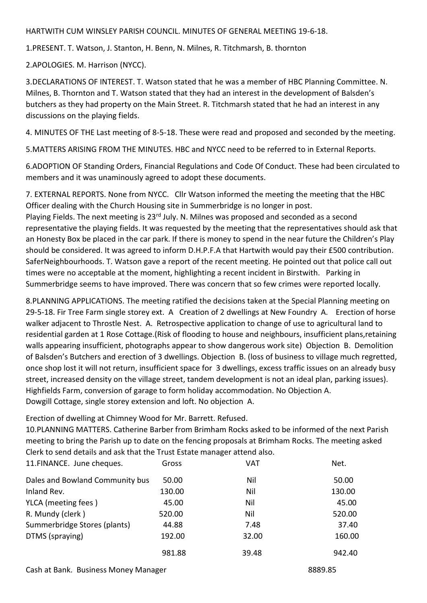## HARTWITH CUM WINSLEY PARISH COUNCIL. MINUTES OF GENERAL MEETING 19-6-18.

1.PRESENT. T. Watson, J. Stanton, H. Benn, N. Milnes, R. Titchmarsh, B. thornton

2.APOLOGIES. M. Harrison (NYCC).

3.DECLARATIONS OF INTEREST. T. Watson stated that he was a member of HBC Planning Committee. N. Milnes, B. Thornton and T. Watson stated that they had an interest in the development of Balsden's butchers as they had property on the Main Street. R. Titchmarsh stated that he had an interest in any discussions on the playing fields.

4. MINUTES OF THE Last meeting of 8-5-18. These were read and proposed and seconded by the meeting.

5.MATTERS ARISING FROM THE MINUTES. HBC and NYCC need to be referred to in External Reports.

6.ADOPTION OF Standing Orders, Financial Regulations and Code Of Conduct. These had been circulated to members and it was unaminously agreed to adopt these documents.

7. EXTERNAL REPORTS. None from NYCC. Cllr Watson informed the meeting the meeting that the HBC Officer dealing with the Church Housing site in Summerbridge is no longer in post.

Playing Fields. The next meeting is 23<sup>rd</sup> July. N. Milnes was proposed and seconded as a second representative the playing fields. It was requested by the meeting that the representatives should ask that an Honesty Box be placed in the car park. If there is money to spend in the near future the Children's Play should be considered. It was agreed to inform D.H.P.F.A that Hartwith would pay their £500 contribution. SaferNeighbourhoods. T. Watson gave a report of the recent meeting. He pointed out that police call out times were no acceptable at the moment, highlighting a recent incident in Birstwith. Parking in Summerbridge seems to have improved. There was concern that so few crimes were reported locally.

8.PLANNING APPLICATIONS. The meeting ratified the decisions taken at the Special Planning meeting on 29-5-18. Fir Tree Farm single storey ext. A Creation of 2 dwellings at New Foundry A. Erection of horse walker adjacent to Throstle Nest. A. Retrospective application to change of use to agricultural land to residential garden at 1 Rose Cottage.(Risk of flooding to house and neighbours, insufficient plans,retaining walls appearing insufficient, photographs appear to show dangerous work site) Objection B. Demolition of Balsden's Butchers and erection of 3 dwellings. Objection B. (loss of business to village much regretted, once shop lost it will not return, insufficient space for 3 dwellings, excess traffic issues on an already busy street, increased density on the village street, tandem development is not an ideal plan, parking issues). Highfields Farm, conversion of garage to form holiday accommodation. No Objection A. Dowgill Cottage, single storey extension and loft. No objection A.

Erection of dwelling at Chimney Wood for Mr. Barrett. Refused.

10.PLANNING MATTERS. Catherine Barber from Brimham Rocks asked to be informed of the next Parish meeting to bring the Parish up to date on the fencing proposals at Brimham Rocks. The meeting asked Clerk to send details and ask that the Trust Estate manager attend also.

| 11.FINANCE. June cheques.       | Gross  | VAT   | Net.   |
|---------------------------------|--------|-------|--------|
| Dales and Bowland Community bus | 50.00  | Nil   | 50.00  |
| Inland Rev.                     | 130.00 | Nil   | 130.00 |
| YLCA (meeting fees)             | 45.00  | Nil   | 45.00  |
| R. Mundy (clerk)                | 520.00 | Nil   | 520.00 |
| Summerbridge Stores (plants)    | 44.88  | 7.48  | 37.40  |
| DTMS (spraying)                 | 192.00 | 32.00 | 160.00 |
|                                 | 981.88 | 39.48 | 942.40 |